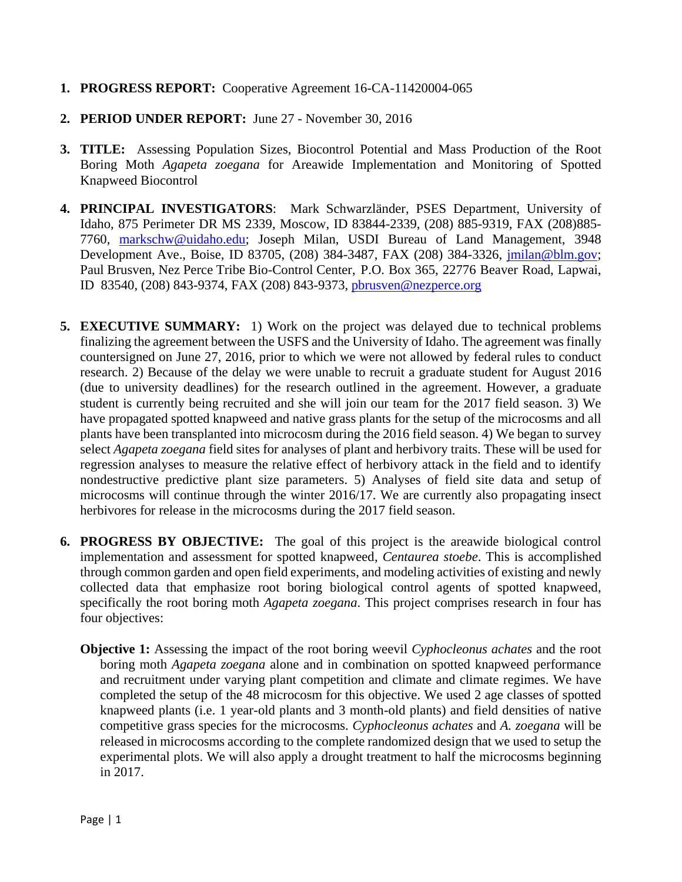## **1. PROGRESS REPORT:** Cooperative Agreement 16-CA-11420004-065

- **2. PERIOD UNDER REPORT:** June 27 November 30, 2016
- **3. TITLE:** Assessing Population Sizes, Biocontrol Potential and Mass Production of the Root Boring Moth *Agapeta zoegana* for Areawide Implementation and Monitoring of Spotted Knapweed Biocontrol
- **4. PRINCIPAL INVESTIGATORS**: Mark Schwarzländer, PSES Department, University of Idaho, 875 Perimeter DR MS 2339, Moscow, ID 83844-2339, (208) 885-9319, FAX (208)885- 7760, [markschw@uidaho.edu;](mailto:markschw@uidaho.edu) Joseph Milan, USDI Bureau of Land Management, 3948 Development Ave., Boise, ID 83705, (208) 384-3487, FAX (208) 384-3326, [jmilan@blm.gov;](mailto:jmilan@blm.gov) Paul Brusven, Nez Perce Tribe Bio-Control Center, P.O. Box 365, 22776 Beaver Road, Lapwai, ID 83540, (208) 843-9374, FAX (208) 843-9373, [pbrusven@nezperce.org](mailto:pbrusven@nezperce.org)
- **5. EXECUTIVE SUMMARY:** 1) Work on the project was delayed due to technical problems finalizing the agreement between the USFS and the University of Idaho. The agreement was finally countersigned on June 27, 2016, prior to which we were not allowed by federal rules to conduct research. 2) Because of the delay we were unable to recruit a graduate student for August 2016 (due to university deadlines) for the research outlined in the agreement. However, a graduate student is currently being recruited and she will join our team for the 2017 field season. 3) We have propagated spotted knapweed and native grass plants for the setup of the microcosms and all plants have been transplanted into microcosm during the 2016 field season. 4) We began to survey select *Agapeta zoegana* field sites for analyses of plant and herbivory traits. These will be used for regression analyses to measure the relative effect of herbivory attack in the field and to identify nondestructive predictive plant size parameters. 5) Analyses of field site data and setup of microcosms will continue through the winter 2016/17. We are currently also propagating insect herbivores for release in the microcosms during the 2017 field season.
- **6. PROGRESS BY OBJECTIVE:** The goal of this project is the areawide biological control implementation and assessment for spotted knapweed, *Centaurea stoebe*. This is accomplished through common garden and open field experiments, and modeling activities of existing and newly collected data that emphasize root boring biological control agents of spotted knapweed, specifically the root boring moth *Agapeta zoegana*. This project comprises research in four has four objectives:
	- **Objective 1:** Assessing the impact of the root boring weevil *Cyphocleonus achates* and the root boring moth *Agapeta zoegana* alone and in combination on spotted knapweed performance and recruitment under varying plant competition and climate and climate regimes. We have completed the setup of the 48 microcosm for this objective. We used 2 age classes of spotted knapweed plants (i.e. 1 year-old plants and 3 month-old plants) and field densities of native competitive grass species for the microcosms. *Cyphocleonus achates* and *A. zoegana* will be released in microcosms according to the complete randomized design that we used to setup the experimental plots. We will also apply a drought treatment to half the microcosms beginning in 2017.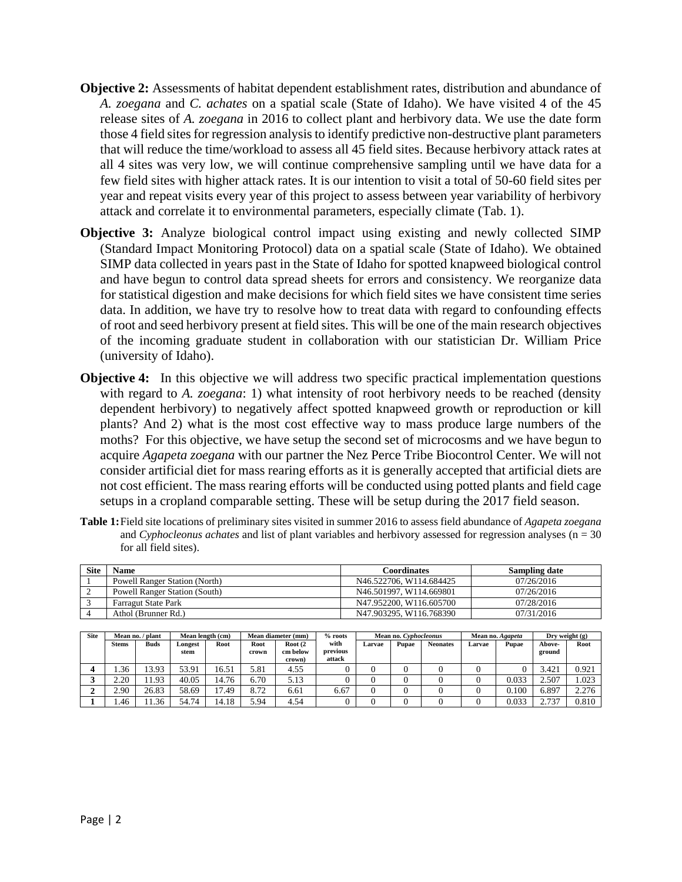- **Objective 2:** Assessments of habitat dependent establishment rates, distribution and abundance of *A. zoegana* and *C. achates* on a spatial scale (State of Idaho). We have visited 4 of the 45 release sites of *A. zoegana* in 2016 to collect plant and herbivory data. We use the date form those 4 field sites for regression analysis to identify predictive non-destructive plant parameters that will reduce the time/workload to assess all 45 field sites. Because herbivory attack rates at all 4 sites was very low, we will continue comprehensive sampling until we have data for a few field sites with higher attack rates. It is our intention to visit a total of 50-60 field sites per year and repeat visits every year of this project to assess between year variability of herbivory attack and correlate it to environmental parameters, especially climate (Tab. 1).
- **Objective 3:** Analyze biological control impact using existing and newly collected SIMP (Standard Impact Monitoring Protocol) data on a spatial scale (State of Idaho). We obtained SIMP data collected in years past in the State of Idaho for spotted knapweed biological control and have begun to control data spread sheets for errors and consistency. We reorganize data for statistical digestion and make decisions for which field sites we have consistent time series data. In addition, we have try to resolve how to treat data with regard to confounding effects of root and seed herbivory present at field sites. This will be one of the main research objectives of the incoming graduate student in collaboration with our statistician Dr. William Price (university of Idaho).
- **Objective 4:** In this objective we will address two specific practical implementation questions with regard to *A. zoegana*: 1) what intensity of root herbivory needs to be reached (density dependent herbivory) to negatively affect spotted knapweed growth or reproduction or kill plants? And 2) what is the most cost effective way to mass produce large numbers of the moths? For this objective, we have setup the second set of microcosms and we have begun to acquire *Agapeta zoegana* with our partner the Nez Perce Tribe Biocontrol Center. We will not consider artificial diet for mass rearing efforts as it is generally accepted that artificial diets are not cost efficient. The mass rearing efforts will be conducted using potted plants and field cage setups in a cropland comparable setting. These will be setup during the 2017 field season.
- **Table 1:**Field site locations of preliminary sites visited in summer 2016 to assess field abundance of *Agapeta zoegana*  and *Cyphocleonus achates* and list of plant variables and herbivory assessed for regression analyses (n = 30) for all field sites).

| <b>Site</b> | Name                                 | <b>Coordinates</b>      | <b>Sampling date</b> |  |  |
|-------------|--------------------------------------|-------------------------|----------------------|--|--|
|             | <b>Powell Ranger Station (North)</b> | N46.522706, W114.684425 | 07/26/2016           |  |  |
|             | <b>Powell Ranger Station (South)</b> | N46.501997, W114.669801 | 07/26/2016           |  |  |
|             | <b>Farragut State Park</b>           | N47.952200, W116.605700 | 07/28/2016           |  |  |
|             | Athol (Brunner Rd.)                  | N47.903295, W116.768390 | 07/31/2016           |  |  |

| <b>Site</b> | Mean no./<br>/ plant |             | Mean length (cm) |                     | Mean diameter (mm) |                                | $%$ roots        | Mean no. Cyphocleonus |       |                 | Mean no. Agapeta |       | Dry weight $(g)$ |       |
|-------------|----------------------|-------------|------------------|---------------------|--------------------|--------------------------------|------------------|-----------------------|-------|-----------------|------------------|-------|------------------|-------|
|             | <b>Stems</b>         | <b>Buds</b> | Longest<br>stem  | Root                | Root<br>crown      | Root <sub>(2</sub><br>cm below | with<br>previous | Larvae                | Pupae | <b>Neonates</b> | Larvae           | Pupae | Above-<br>ground | Root  |
|             |                      |             |                  |                     |                    | crown)                         | attack           |                       |       |                 |                  |       |                  |       |
|             | .36                  | 3.93        | 53.91            | 16.51               | 5.81               | 4.55                           | υ                |                       |       |                 |                  |       | 3.421            | 0.921 |
|             | 2.20                 | 1.93        | 40.05            | 14.76               | 6.70               | 5.13                           | υ                |                       |       |                 |                  | 0.033 | 2.507            | .023  |
|             | 2.90                 | 26.83       | 58.69            | $\mathbf{r}$<br>.49 | 8.72               | 6.61                           | 6.67             |                       |       |                 |                  | 0.100 | 6.897            | 2.276 |
|             | . 46                 | .36         | 54.74            | 4.18                | <i>5.</i> 94       | 4.54                           | υ                |                       |       |                 |                  | 0.033 | 2.737            | 0.810 |